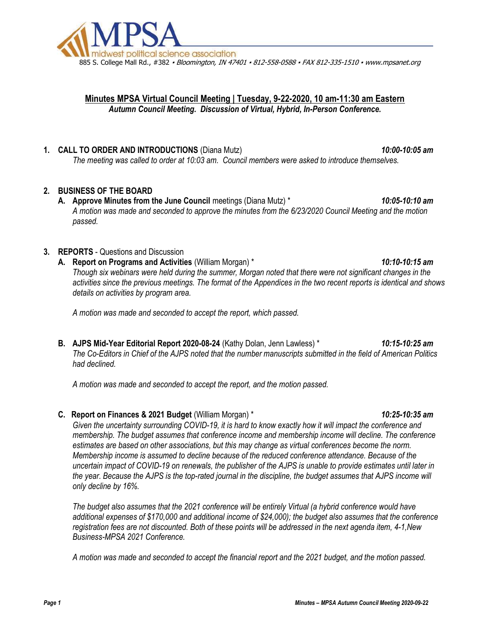

# Minutes MPSA Virtual Council Meeting | Tuesday, 9-22-2020, 10 am-11:30 am Eastern Autumn Council Meeting. Discussion of Virtual, Hybrid, In-Person Conference.

## 1. CALL TO ORDER AND INTRODUCTIONS (Diana Mutz) 10:00-10:05 am

The meeting was called to order at 10:03 am. Council members were asked to introduce themselves.

# 2. BUSINESS OF THE BOARD

A. Approve Minutes from the June Council meetings (Diana Mutz) \* 10:05-10:10 am A motion was made and seconded to approve the minutes from the 6/23/2020 Council Meeting and the motion passed.

## 3. REPORTS - Questions and Discussion

A. Report on Programs and Activities (William Morgan) \* 10:10-10:15 am 10:10-10:15 am Though six webinars were held during the summer, Morgan noted that there were not significant changes in the activities since the previous meetings. The format of the Appendices in the two recent reports is identical and shows details on activities by program area.

A motion was made and seconded to accept the report, which passed.

B. AJPS Mid-Year Editorial Report 2020-08-24 (Kathy Dolan, Jenn Lawless) \* 10:15-10:25 am The Co-Editors in Chief of the AJPS noted that the number manuscripts submitted in the field of American Politics had declined.

A motion was made and seconded to accept the report, and the motion passed.

#### C. Report on Finances & 2021 Budget (William Morgan) \* 10:25-10:35 am 10:25-10:35 am

Given the uncertainty surrounding COVID-19, it is hard to know exactly how it will impact the conference and membership. The budget assumes that conference income and membership income will decline. The conference estimates are based on other associations, but this may change as virtual conferences become the norm. Membership income is assumed to decline because of the reduced conference attendance. Because of the uncertain impact of COVID-19 on renewals, the publisher of the AJPS is unable to provide estimates until later in the year. Because the AJPS is the top-rated journal in the discipline, the budget assumes that AJPS income will only decline by 16%.

The budget also assumes that the 2021 conference will be entirely Virtual (a hybrid conference would have additional expenses of \$170,000 and additional income of \$24,000); the budget also assumes that the conference registration fees are not discounted. Both of these points will be addressed in the next agenda item, 4-1,New Business-MPSA 2021 Conference.

A motion was made and seconded to accept the financial report and the 2021 budget, and the motion passed.